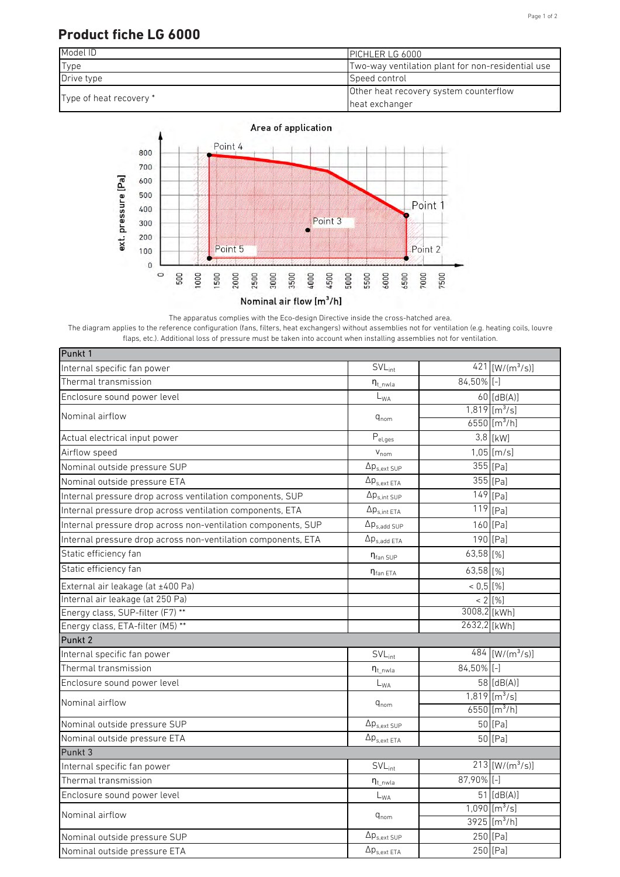## Page 1 of 2

## **Product fiche LG 6000**





The apparatus complies with the Eco-design Directive inside the cross-hatched area.

The diagram applies to the reference configuration (fans, filters, heat exchangers) without assemblies not for ventilation (e.g. heating coils, louvre flaps, etc.). Additional loss of pressure must be taken into account when installing assemblies not for ventilation.

| Punkt 1                                                       |                                |               |                               |
|---------------------------------------------------------------|--------------------------------|---------------|-------------------------------|
| Internal specific fan power                                   | $SVL_{int}$                    |               | 421 [ $W/(m^3/s)$ ]           |
| Thermal transmission                                          | $\eta_{t\_nwla}$               | 84,50% [-]    |                               |
| Enclosure sound power level                                   | $L_{WA}$                       |               | $60$ [dB(A)]                  |
| Nominal airflow                                               | $q_{nom}$                      |               | $1,819$ [m <sup>3</sup> /s]   |
|                                                               |                                |               | $6550$ [m <sup>3</sup> /h]    |
| Actual electrical input power                                 | $\overline{P}_{\text{el,ges}}$ |               | 3,8 [kW]                      |
| Airflow speed                                                 | $V_{nom}$                      |               | $1,05$ [m/s]                  |
| Nominal outside pressure SUP                                  | $\Delta p_{s,ext\,SUP}$        |               | $355$ [Pa]                    |
| Nominal outside pressure ETA                                  | $\Delta p_{s,ext ETA}$         |               | $355$ [Pa]                    |
| Internal pressure drop across ventilation components, SUP     | $\Delta p_{s,int SUP}$         |               | $\overline{149}$ [Pa]         |
| Internal pressure drop across ventilation components, ETA     | $\Delta p_{s,int ETA}$         |               | $119$ [Pa]                    |
| Internal pressure drop across non-ventilation components, SUP | $\Delta p_{s,add~SUP}$         |               | 160 [Pa]                      |
| Internal pressure drop across non-ventilation components, ETA | $\Delta p_{s.add ETA}$         |               | 190 [Pa]                      |
| Static efficiency fan                                         | $\eta_{\text{fan SUP}}$        | 63,58 [%]     |                               |
| Static efficiency fan                                         | $\eta_{\text{fan ETA}}$        | 63,58 [%]     |                               |
| External air leakage (at ±400 Pa)                             |                                | $< 0.5$ [%]   |                               |
| Internal air leakage (at 250 Pa)                              |                                |               | $< 2$ [%]                     |
| Energy class, SUP-filter (F7) **                              |                                | 3008,2 [kWh]  |                               |
| Energy class, ETA-filter (M5) **                              |                                | 2632,2 [kWh]  |                               |
| Punkt <sub>2</sub>                                            |                                |               |                               |
| Internal specific fan power                                   | $SVL_{int}$                    |               | $484$ [W/(m <sup>3</sup> /s)] |
| Thermal transmission                                          | $\eta_{t}$ <sub>nwla</sub>     | $84,50\%$ [-] |                               |
| Enclosure sound power level                                   | $L_{WA}$                       |               | 58 [dB(A)]                    |
| Nominal airflow                                               | $\mathtt{q}_{\text{nom}}$      |               | $1,819$ [m <sup>3</sup> /s]   |
|                                                               |                                |               | 6550 [ $m^3/h$ ]              |
| Nominal outside pressure SUP                                  | $\Delta p_{s,ext SUP}$         |               | 50 [Pa]                       |
| Nominal outside pressure ETA                                  | $\Delta p_{s,ext ETA}$         |               | 50 [Pa]                       |
| Punkt 3                                                       |                                |               |                               |
| Internal specific fan power                                   | $SVL_{int}$                    |               | $213$ [W/(m <sup>3</sup> /s)] |
| Thermal transmission                                          | $\eta_{t\_nwla}$               | 87,90% [-]    |                               |
| Enclosure sound power level                                   | $L_{WA}$                       |               | $\overline{51}$ [dB(A)]       |
| Nominal airflow                                               | $q_{nom}$                      |               | $1,090$ [m <sup>3</sup> /s]   |
|                                                               |                                |               | $3925$ [m <sup>3</sup> /h]    |
| Nominal outside pressure SUP                                  | $\Delta p_{s,ext\,SUP}$        |               | 250 [Pa]                      |
| Nominal outside pressure ETA                                  | $\Delta p_{s,ext\ ETA}$        |               | 250 [Pa]                      |